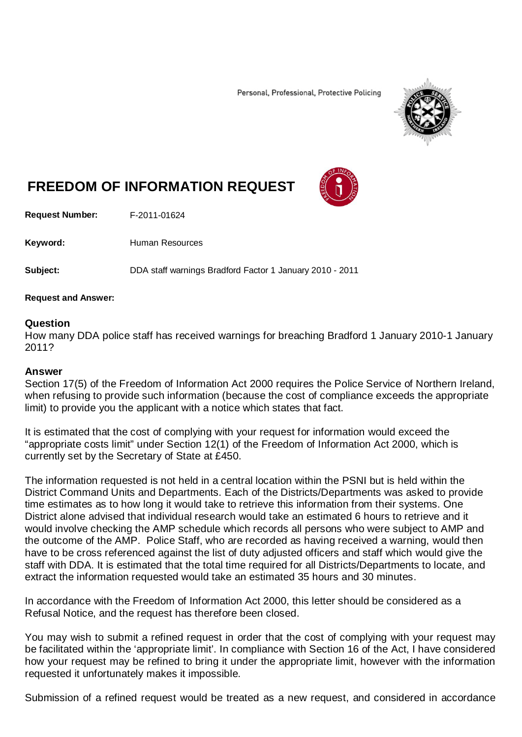Personal, Professional, Protective Policing



## **FREEDOM OF INFORMATION REQUEST**

**Request Number:** F-2011-01624

Keyword: Human Resources

**Subject:** DDA staff warnings Bradford Factor 1 January 2010 - 2011

## **Request and Answer:**

## **Question**

How many DDA police staff has received warnings for breaching Bradford 1 January 2010-1 January 2011?

## **Answer**

Section 17(5) of the Freedom of Information Act 2000 requires the Police Service of Northern Ireland, when refusing to provide such information (because the cost of compliance exceeds the appropriate limit) to provide you the applicant with a notice which states that fact.

It is estimated that the cost of complying with your request for information would exceed the "appropriate costs limit" under Section 12(1) of the Freedom of Information Act 2000, which is currently set by the Secretary of State at £450.

The information requested is not held in a central location within the PSNI but is held within the District Command Units and Departments. Each of the Districts/Departments was asked to provide time estimates as to how long it would take to retrieve this information from their systems. One District alone advised that individual research would take an estimated 6 hours to retrieve and it would involve checking the AMP schedule which records all persons who were subject to AMP and the outcome of the AMP. Police Staff, who are recorded as having received a warning, would then have to be cross referenced against the list of duty adjusted officers and staff which would give the staff with DDA. It is estimated that the total time required for all Districts/Departments to locate, and extract the information requested would take an estimated 35 hours and 30 minutes.

In accordance with the Freedom of Information Act 2000, this letter should be considered as a Refusal Notice, and the request has therefore been closed.

You may wish to submit a refined request in order that the cost of complying with your request may be facilitated within the 'appropriate limit'. In compliance with Section 16 of the Act, I have considered how your request may be refined to bring it under the appropriate limit, however with the information requested it unfortunately makes it impossible.

Submission of a refined request would be treated as a new request, and considered in accordance